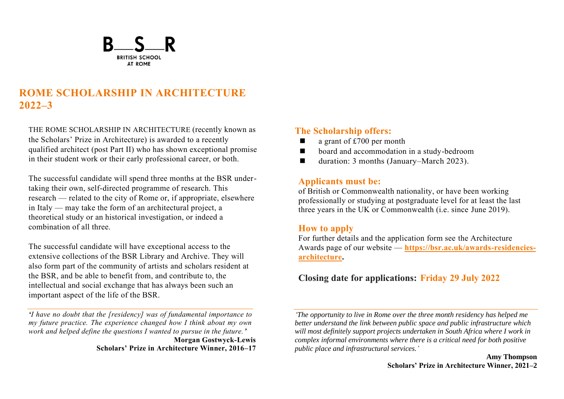

# **ROME SCHOLARSHIP IN ARCHITECTURE 2022–3**

THE ROME SCHOLARSHIP IN ARCHITECTURE (recently known as the Scholars' Prize in Architecture) is awarded to a recently qualified architect (post Part II) who has shown exceptional promise in their student work or their early professional career, or both.

The successful candidate will spend three months at the BSR undertaking their own, self-directed programme of research. This research — related to the city of Rome or, if appropriate, elsewhere in Italy — may take the form of an architectural project, a theoretical study or an historical investigation, or indeed a combination of all three.

The successful candidate will have exceptional access to the extensive collections of the BSR Library and Archive. They will also form part of the community of artists and scholars resident at the BSR, and be able to benefit from, and contribute to, the intellectual and social exchange that has always been such an important aspect of the life of the BSR.

*'I have no doubt that the [residency] was of fundamental importance to my future practice. The experience changed how I think about my own work and helped define the questions I wanted to pursue in the future.'* **Morgan Gostwyck-Lewis** 

**Scholars' Prize in Architecture Winner, 2016–17**

### **The Scholarship offers:**

- a grant of  $£700$  per month
- ◼ board and accommodation in a study-bedroom
- duration: 3 months (January–March 2023).

### **Applicants must be:**

of British or Commonwealth nationality, or have been working professionally or studying at postgraduate level for at least the last three years in the UK or Commonwealth (i.e. since June 2019).

### **How to apply**

For further details and the application form see the Architecture Awards page of our website — **[https://bsr.ac.uk/awards-residencies](https://bsr.ac.uk/awards-residencies-architecture)[architecture.](https://bsr.ac.uk/awards-residencies-architecture)**

## **Closing date for applications: Friday 29 July 2022**

*'The opportunity to live in Rome over the three month residency has helped me better understand the link between public space and public infrastructure which*  will most definitely support projects undertaken in South Africa where I work in *complex informal environments where there is a critical need for both positive public place and infrastructural services.'*